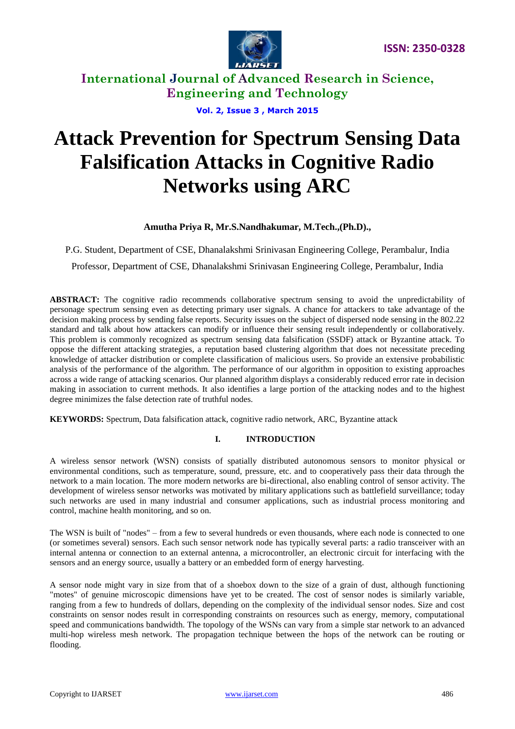

**Vol. 2, Issue 3 , March 2015**

# **Attack Prevention for Spectrum Sensing Data Falsification Attacks in Cognitive Radio Networks using ARC**

# **Amutha Priya R, Mr.S.Nandhakumar, M.Tech.,(Ph.D).,**

P.G. Student, Department of CSE, Dhanalakshmi Srinivasan Engineering College, Perambalur, India

Professor, Department of CSE, Dhanalakshmi Srinivasan Engineering College, Perambalur, India

**ABSTRACT:** The cognitive radio recommends collaborative spectrum sensing to avoid the unpredictability of personage spectrum sensing even as detecting primary user signals. A chance for attackers to take advantage of the decision making process by sending false reports. Security issues on the subject of dispersed node sensing in the 802.22 standard and talk about how attackers can modify or influence their sensing result independently or collaboratively. This problem is commonly recognized as spectrum sensing data falsification (SSDF) attack or Byzantine attack. To oppose the different attacking strategies, a reputation based clustering algorithm that does not necessitate preceding knowledge of attacker distribution or complete classification of malicious users. So provide an extensive probabilistic analysis of the performance of the algorithm. The performance of our algorithm in opposition to existing approaches across a wide range of attacking scenarios. Our planned algorithm displays a considerably reduced error rate in decision making in association to current methods. It also identifies a large portion of the attacking nodes and to the highest degree minimizes the false detection rate of truthful nodes.

**KEYWORDS:** Spectrum, Data falsification attack, cognitive radio network, ARC, Byzantine attack

#### **I. INTRODUCTION**

A wireless sensor network (WSN) consists of spatially distributed autonomous sensors to monitor physical or environmental conditions, such as temperature, sound, pressure, etc. and to cooperatively pass their data through the network to a main location. The more modern networks are bi-directional, also enabling control of sensor activity. The development of wireless sensor networks was motivated by military applications such as battlefield surveillance; today such networks are used in many industrial and consumer applications, such as industrial process monitoring and control, machine health monitoring, and so on.

The WSN is built of "nodes" – from a few to several hundreds or even thousands, where each node is connected to one (or sometimes several) sensors. Each such sensor network node has typically several parts: a radio transceiver with an internal antenna or connection to an external antenna, a microcontroller, an electronic circuit for interfacing with the sensors and an energy source, usually a battery or an embedded form of energy harvesting.

A sensor node might vary in size from that of a shoebox down to the size of a grain of dust, although functioning "motes" of genuine microscopic dimensions have yet to be created. The cost of sensor nodes is similarly variable, ranging from a few to hundreds of dollars, depending on the complexity of the individual sensor nodes. Size and cost constraints on sensor nodes result in corresponding constraints on resources such as energy, memory, computational speed and communications bandwidth. The topology of the WSNs can vary from a simple star network to an advanced multi-hop wireless mesh network. The propagation technique between the hops of the network can be routing or flooding.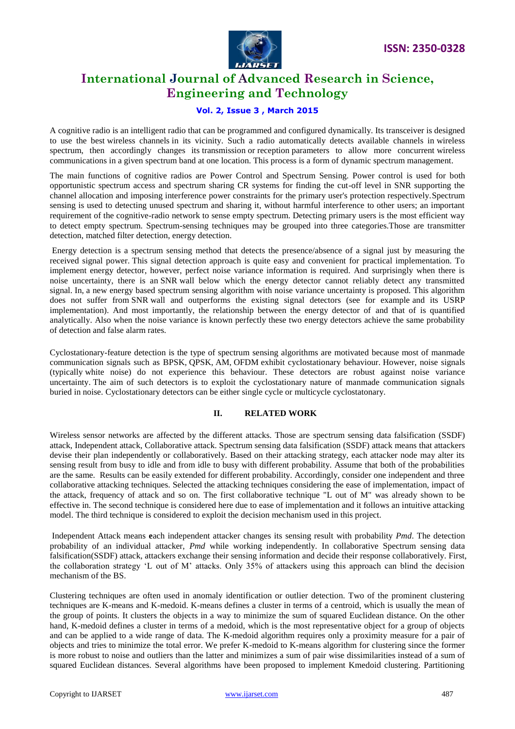

# **Vol. 2, Issue 3 , March 2015**

A cognitive radio is an intelligent radio that can be programmed and configured dynamically. Its transceiver is designed to use the best wireless channels in its vicinity. Such a radio automatically detects available channels in wireless spectrum, then accordingly changes its transmission or reception parameters to allow more concurrent wireless communications in a given spectrum band at one location. This process is a form of dynamic spectrum management.

The main functions of cognitive radios are Power Control and Spectrum Sensing. Power control is used for both opportunistic spectrum access and spectrum sharing CR systems for finding the cut-off level in SNR supporting the channel allocation and imposing interference power constraints for the primary user's protection respectively.Spectrum sensing is used to detecting unused spectrum and sharing it, without harmful interference to other users; an important requirement of the cognitive-radio network to sense empty spectrum. Detecting primary users is the most efficient way to detect empty spectrum. Spectrum-sensing techniques may be grouped into three categories.Those are transmitter detection, matched filter detection, energy detection.

Energy detection is a spectrum sensing method that detects the presence/absence of a signal just by measuring the received signal power. This signal detection approach is quite easy and convenient for practical implementation. To implement energy detector, however, perfect noise variance information is required. And surprisingly when there is noise uncertainty, there is an SNR wall below which the energy detector cannot reliably detect any transmitted signal. In, a new energy based spectrum sensing algorithm with noise variance uncertainty is proposed. This algorithm does not suffer from SNR wall and outperforms the existing signal detectors (see for example and its USRP implementation). And most importantly, the relationship between the energy detector of and that of is quantified analytically. Also when the noise variance is known perfectly these two energy detectors achieve the same probability of detection and false alarm rates.

Cyclostationary-feature detection is the type of spectrum sensing algorithms are motivated because most of manmade communication signals such as BPSK, QPSK, AM, OFDM exhibit cyclostationary behaviour. However, noise signals (typically white noise) do not experience this behaviour. These detectors are robust against noise variance uncertainty. The aim of such detectors is to exploit the cyclostationary nature of manmade communication signals buried in noise. Cyclostationary detectors can be either single cycle or multicycle cyclostatonary.

#### **II. RELATED WORK**

Wireless sensor networks are affected by the different attacks. Those are spectrum sensing data falsification (SSDF) attack, Independent attack, Collaborative attack. Spectrum sensing data falsification (SSDF) attack means that attackers devise their plan independently or collaboratively. Based on their attacking strategy, each attacker node may alter its sensing result from busy to idle and from idle to busy with different probability. Assume that both of the probabilities are the same. Results can be easily extended for different probability. Accordingly, consider one independent and three collaborative attacking techniques. Selected the attacking techniques considering the ease of implementation, impact of the attack, frequency of attack and so on. The first collaborative technique "L out of M" was already shown to be effective in. The second technique is considered here due to ease of implementation and it follows an intuitive attacking model. The third technique is considered to exploit the decision mechanism used in this project.

Independent Attack means **e**ach independent attacker changes its sensing result with probability *Pmd*. The detection probability of an individual attacker, *Pmd* while working independently. In collaborative Spectrum sensing data falsification(SSDF) attack, attackers exchange their sensing information and decide their response collaboratively. First, the collaboration strategy "L out of M" attacks. Only 35% of attackers using this approach can blind the decision mechanism of the BS.

Clustering techniques are often used in anomaly identification or outlier detection. Two of the prominent clustering techniques are K-means and K-medoid. K-means defines a cluster in terms of a centroid, which is usually the mean of the group of points. It clusters the objects in a way to minimize the sum of squared Euclidean distance. On the other hand, K-medoid defines a cluster in terms of a medoid, which is the most representative object for a group of objects and can be applied to a wide range of data. The K-medoid algorithm requires only a proximity measure for a pair of objects and tries to minimize the total error. We prefer K-medoid to K-means algorithm for clustering since the former is more robust to noise and outliers than the latter and minimizes a sum of pair wise dissimilarities instead of a sum of squared Euclidean distances. Several algorithms have been proposed to implement Kmedoid clustering. Partitioning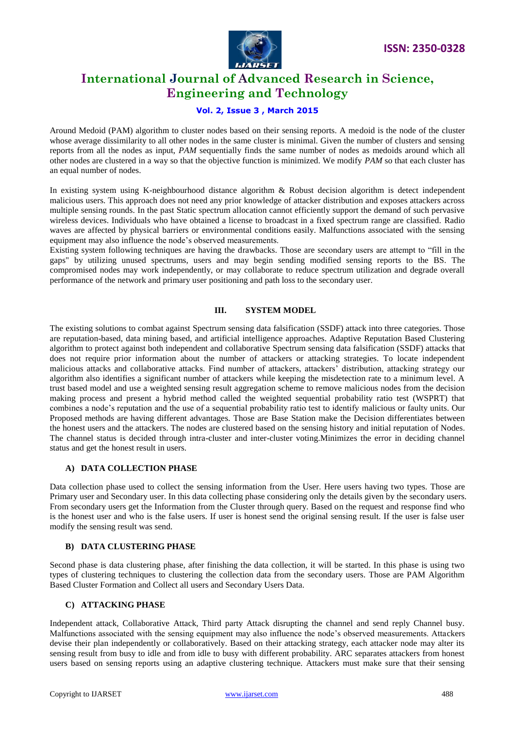

## **Vol. 2, Issue 3 , March 2015**

Around Medoid (PAM) algorithm to cluster nodes based on their sensing reports. A medoid is the node of the cluster whose average dissimilarity to all other nodes in the same cluster is minimal. Given the number of clusters and sensing reports from all the nodes as input, *PAM* sequentially finds the same number of nodes as medoids around which all other nodes are clustered in a way so that the objective function is minimized. We modify *PAM* so that each cluster has an equal number of nodes.

In existing system using K-neighbourhood distance algorithm & Robust decision algorithm is detect independent malicious users. This approach does not need any prior knowledge of attacker distribution and exposes attackers across multiple sensing rounds. In the past Static spectrum allocation cannot efficiently support the demand of such pervasive wireless devices. Individuals who have obtained a license to broadcast in a fixed spectrum range are classified. Radio waves are affected by physical barriers or environmental conditions easily. Malfunctions associated with the sensing equipment may also influence the node"s observed measurements.

Existing system following techniques are having the drawbacks. Those are secondary users are attempt to "fill in the gaps" by utilizing unused spectrums, users and may begin sending modified sensing reports to the BS. The compromised nodes may work independently, or may collaborate to reduce spectrum utilization and degrade overall performance of the network and primary user positioning and path loss to the secondary user.

# **III. SYSTEM MODEL**

The existing solutions to combat against Spectrum sensing data falsification (SSDF) attack into three categories. Those are reputation-based, data mining based, and artificial intelligence approaches. Adaptive Reputation Based Clustering algorithm to protect against both independent and collaborative Spectrum sensing data falsification (SSDF) attacks that does not require prior information about the number of attackers or attacking strategies. To locate independent malicious attacks and collaborative attacks. Find number of attackers, attackers' distribution, attacking strategy our algorithm also identifies a significant number of attackers while keeping the misdetection rate to a minimum level. A trust based model and use a weighted sensing result aggregation scheme to remove malicious nodes from the decision making process and present a hybrid method called the weighted sequential probability ratio test (WSPRT) that combines a node"s reputation and the use of a sequential probability ratio test to identify malicious or faulty units. Our Proposed methods are having different advantages. Those are Base Station make the Decision differentiates between the honest users and the attackers. The nodes are clustered based on the sensing history and initial reputation of Nodes. The channel status is decided through intra-cluster and inter-cluster voting.Minimizes the error in deciding channel status and get the honest result in users.

#### **A) DATA COLLECTION PHASE**

Data collection phase used to collect the sensing information from the User. Here users having two types. Those are Primary user and Secondary user. In this data collecting phase considering only the details given by the secondary users. From secondary users get the Information from the Cluster through query. Based on the request and response find who is the honest user and who is the false users. If user is honest send the original sensing result. If the user is false user modify the sensing result was send.

#### **B) DATA CLUSTERING PHASE**

Second phase is data clustering phase, after finishing the data collection, it will be started. In this phase is using two types of clustering techniques to clustering the collection data from the secondary users. Those are PAM Algorithm Based Cluster Formation and Collect all users and Secondary Users Data.

#### **C) ATTACKING PHASE**

Independent attack, Collaborative Attack, Third party Attack disrupting the channel and send reply Channel busy. Malfunctions associated with the sensing equipment may also influence the node"s observed measurements. Attackers devise their plan independently or collaboratively. Based on their attacking strategy, each attacker node may alter its sensing result from busy to idle and from idle to busy with different probability. ARC separates attackers from honest users based on sensing reports using an adaptive clustering technique. Attackers must make sure that their sensing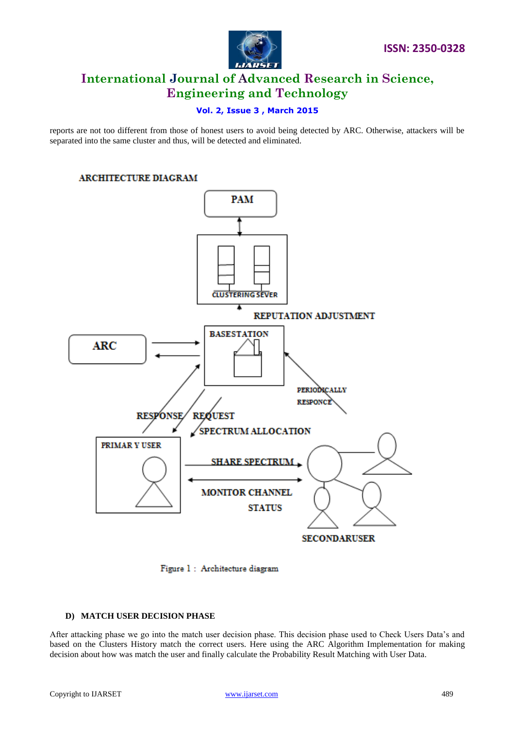

## **Vol. 2, Issue 3 , March 2015**

reports are not too different from those of honest users to avoid being detected by ARC. Otherwise, attackers will be separated into the same cluster and thus, will be detected and eliminated.

## **ARCHITECTURE DIACRAM**



Figure 1 : Architecture diagram

#### **D) MATCH USER DECISION PHASE**

After attacking phase we go into the match user decision phase. This decision phase used to Check Users Data"s and based on the Clusters History match the correct users. Here using the ARC Algorithm Implementation for making decision about how was match the user and finally calculate the Probability Result Matching with User Data.